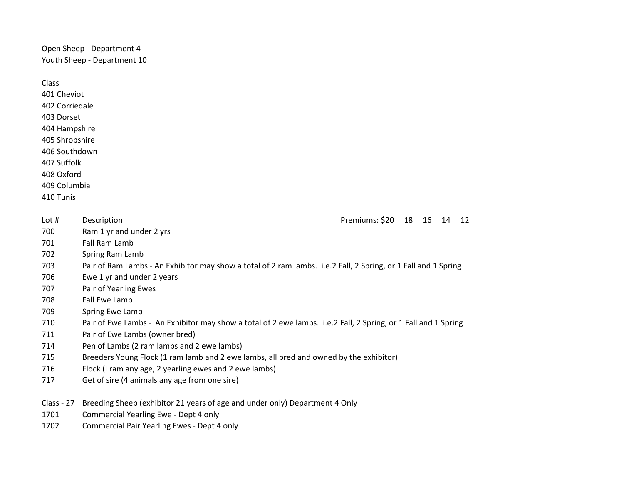Open Sheep - Department 4 Youth Sheep - Department 10

Class 401 Cheviot 402 Corriedale 403 Dorset 404 Hampshire 405 Shropshire 406 Southdown

407 Suffolk 408 Oxford 409 Columbia

410 Tunis

Lot # Description **Premiums: \$20 18 16 14 12** 

- 700 Ram 1 yr and under 2 yrs
- 701 Fall Ram Lamb
- 702 Spring Ram Lamb
- 703 Pair of Ram Lambs An Exhibitor may show a total of 2 ram lambs. i.e.2 Fall, 2 Spring, or 1 Fall and 1 Spring
- 706 Ewe 1 yr and under 2 years
- 707 Pair of Yearling Ewes
- 708 Fall Ewe Lamb
- 709 Spring Ewe Lamb
- 710 Pair of Ewe Lambs An Exhibitor may show a total of 2 ewe lambs. i.e.2 Fall, 2 Spring, or 1 Fall and 1 Spring
- 711 Pair of Ewe Lambs (owner bred)
- 714 Pen of Lambs (2 ram lambs and 2 ewe lambs)
- 715 Breeders Young Flock (1 ram lamb and 2 ewe lambs, all bred and owned by the exhibitor)
- 716 Flock (I ram any age, 2 yearling ewes and 2 ewe lambs)
- 717 Get of sire (4 animals any age from one sire)
- Class 27 Breeding Sheep (exhibitor 21 years of age and under only) Department 4 Only
- 1701 Commercial Yearling Ewe Dept 4 only
- 1702 Commercial Pair Yearling Ewes Dept 4 only